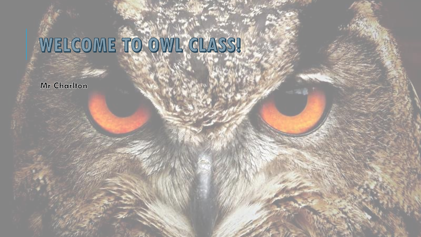#### WELCOME TO OWL CLASS!

Mr Charlton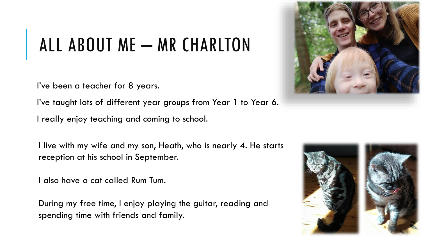# ALL ABOUT ME - MR CHARLTON

I've been a teacher for 8 years.

I've taught lots of different year groups from Year 1 to Year 6.

I really enjoy teaching and coming to school.

I live with my wife and my son, Heath, who is nearly 4. He starts reception at his school in September.

I also have a cat called Rum Tum.

During my free time, I enjoy playing the guitar, reading and spending time with friends and family.



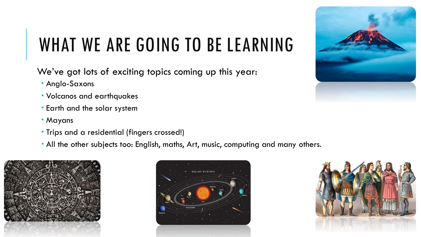## WHAT WE ARE GOING TO BE LEARNING

We've got lots of exciting topics coming up this year:

- **Anglo-Saxons**
- Volcanos and earthquakes
- Earth and the solar system
- Mayans
- **Trips and a residential (fingers crossed!)**
- All the other subjects too: English, maths, Art, music, computing and many others.







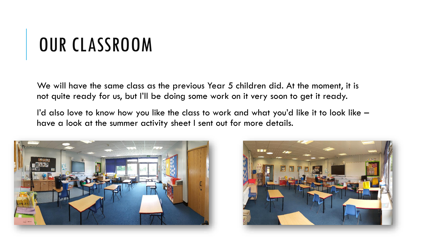## OUR CLASSROOM

We will have the same class as the previous Year 5 children did. At the moment, it is not quite ready for us, but I'll be doing some work on it very soon to get it ready.

I'd also love to know how you like the class to work and what you'd like it to look like – have a look at the summer activity sheet I sent out for more details.



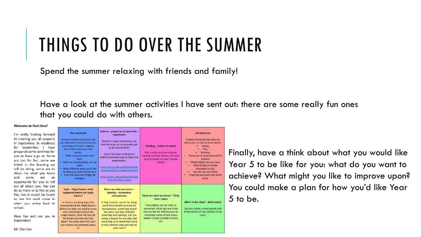#### THINGS TO DO OVER THE SUMMER

Spend the summer relaxing with friends and family!

Have a look at the summer activities I have sent out: there are some really fun ones that you could do with others.

#### Welcome to Owl class!

I'm really looking forwar to meeting you all proper in September. In readine for September, I hav prepared some activities fo you to have a go at. Som are just for fun, some ar linked to the learning w will be doing, some are show me what you know and some are a opportunity for you to te me all about you. You ca do as many or as few as yo like, but it would be lovel to see the work come when you arrive back school.

Have fun and see you September!

Mr Charlton

| ٢d<br>Ιy<br>SS.<br>/e<br>эr<br>١ē<br>re<br>/e<br>ŗΟ<br>w<br>ın.<br>٠ΙΙ | <b>Our classroom</b><br>I'd love to know what you'd like<br>our classroom to be like and how<br>vou'd like it to work. Create a<br>plan of the classroom that<br>details:<br>• What monitors/ jobs we'd<br>have.<br>• What we should display on the<br>walls.<br>. What different areas you'd like<br>to have (e.g. book corner etc.)<br>. How the classroom might be<br>arranged. | Science - properties of materials -<br>experiment<br>Science is super interesting, not<br>least because we occasionally get<br>to do experiments!<br>Go to The Royal Institution's<br>website and have a go at these two<br>experiments:<br>https://www.rigb.org/families/exp<br>erimental/series-2/eggsperiments<br>https://www.rigb.org/families/exp<br>erimental/fizzy-cubes | Reading - review of a book<br>Pick a book you have enjoyed<br>reading recently. Review the book<br>and persuade me that I should<br>read it!                                                                                   | All about you<br>Create a brochure that tells me<br>about you. I'd love to know about:<br>Family.<br>Pets.<br>Birthday,<br>Favourite (or least favourite?!)<br>subject.<br>What hobbies do you have,<br>٠<br>What things are really<br>important to you.<br>How do you learn best.<br>٠<br>Anything else you'd like me to<br>know. |
|------------------------------------------------------------------------|------------------------------------------------------------------------------------------------------------------------------------------------------------------------------------------------------------------------------------------------------------------------------------------------------------------------------------------------------------------------------------|---------------------------------------------------------------------------------------------------------------------------------------------------------------------------------------------------------------------------------------------------------------------------------------------------------------------------------------------------------------------------------|--------------------------------------------------------------------------------------------------------------------------------------------------------------------------------------------------------------------------------|------------------------------------------------------------------------------------------------------------------------------------------------------------------------------------------------------------------------------------------------------------------------------------------------------------------------------------|
| ın.<br>)U<br>ly<br>in.<br>in<br>in.                                    | Topic - Anglo Saxons what<br>happened before the Anglo<br>Saxons?<br>In history, we are going to be<br>learning about the Anglo Saxons.<br>Before we start, we need to know<br>who ruled Britain before the<br>Anglo Saxons, what did they do<br>for Britain and why did they<br>leave? You could even film your<br>own history documentary about<br>itl                           | Show me what you know -<br>Spelling - horrendous<br>homophones<br>In Year 3 and 4, one of the things<br>you'll have already covered are<br>homophones: words that sound<br>the same, but have different<br>meanings and spellings. Can you<br>create a display for our class that<br>could help us to remember some<br>of the common ones and how to<br>spell them?             | Show me what you know - Tricky<br>times tables<br>Times tables can be tricky to<br>remember. What tips and tricks<br>can you tell me that help you to<br>remember some of your times<br>tables? Create a poster to show<br>me. | Who's in the class? - Word search<br>Can you create a word search with<br>all the names of the children in the<br>class?                                                                                                                                                                                                           |

Finally, have a think about what you would like Year 5 to be like for you: what do you want to achieve? What might you like to improve upon? You could make a plan for how you'd like Year 5 to be.